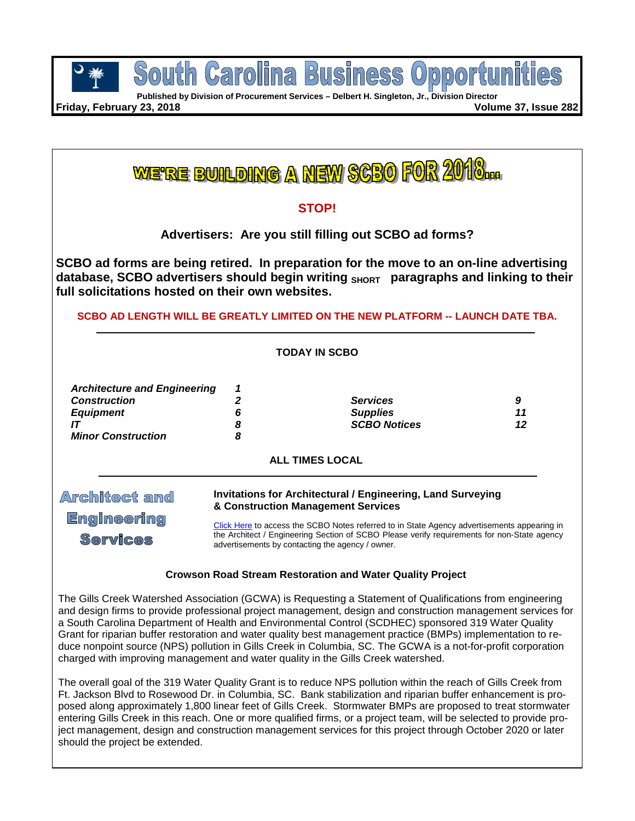

**Published by Division of Procurement Services – Delbert H. Singleton, Jr., Division Director**

ina

 $BUS$ 

**Friday, February 23, 2018 Volume 37, Issue 282**

Engineering Services

South Caroli

WE'RE BUILDING A NEW SCBO FOR 20

## **STOP!**

**Advertisers: Are you still filling out SCBO ad forms?**

**SCBO ad forms are being retired. In preparation for the move to an on-line advertising**  database, SCBO advertisers should begin writing SHORT paragraphs and linking to their **full solicitations hosted on their own websites.** 

#### **SCBO AD LENGTH WILL BE GREATLY LIMITED ON THE NEW PLATFORM -- LAUNCH DATE TBA.**

|                                     |   | <b>TODAY IN SCBO</b>                                                                                     |    |
|-------------------------------------|---|----------------------------------------------------------------------------------------------------------|----|
| <b>Architecture and Engineering</b> | 1 |                                                                                                          |    |
| <b>Construction</b>                 | 2 | <b>Services</b>                                                                                          | 9  |
| <b>Equipment</b>                    | 6 | <b>Supplies</b>                                                                                          |    |
| IΤ                                  | 8 | <b>SCBO Notices</b>                                                                                      | 12 |
| <b>Minor Construction</b>           | 8 |                                                                                                          |    |
|                                     |   | <b>ALL TIMES LOCAL</b>                                                                                   |    |
| <b>Architect and</b>                |   | <b>Invitations for Architectural / Engineering, Land Surveying</b><br>& Construction Management Services |    |

[Click Here](https://procurement.sc.gov/general/scbo/notes) to access the SCBO Notes referred to in State Agency advertisements appearing in the Architect / Engineering Section of SCBO Please verify requirements for non-State agency advertisements by contacting the agency / owner.

#### **Crowson Road Stream Restoration and Water Quality Project**

The Gills Creek Watershed Association (GCWA) is Requesting a Statement of Qualifications from engineering and design firms to provide professional project management, design and construction management services for a South Carolina Department of Health and Environmental Control (SCDHEC) sponsored 319 Water Quality Grant for riparian buffer restoration and water quality best management practice (BMPs) implementation to reduce nonpoint source (NPS) pollution in Gills Creek in Columbia, SC. The GCWA is a not-for-profit corporation charged with improving management and water quality in the Gills Creek watershed.

The overall goal of the 319 Water Quality Grant is to reduce NPS pollution within the reach of Gills Creek from Ft. Jackson Blvd to Rosewood Dr. in Columbia, SC. Bank stabilization and riparian buffer enhancement is proposed along approximately 1,800 linear feet of Gills Creek. Stormwater BMPs are proposed to treat stormwater entering Gills Creek in this reach. One or more qualified firms, or a project team, will be selected to provide project management, design and construction management services for this project through October 2020 or later should the project be extended.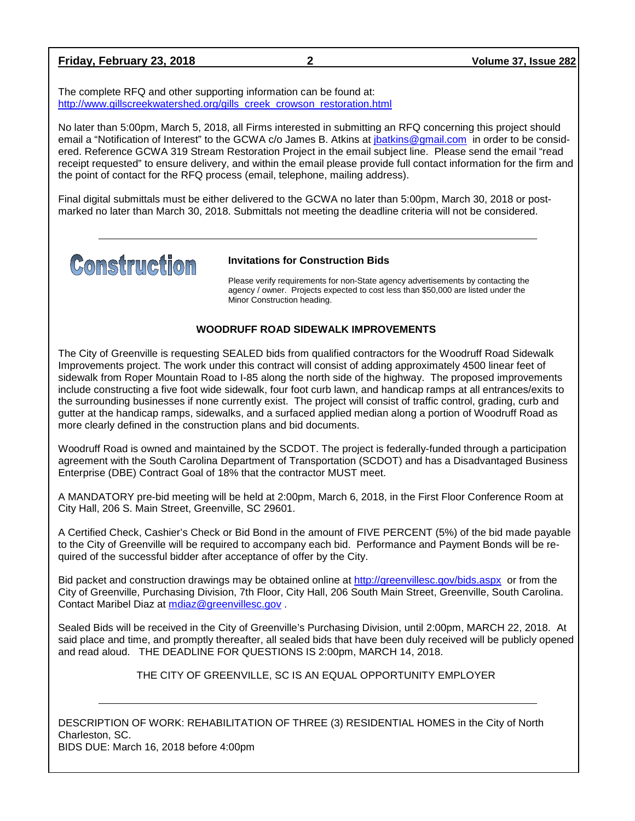#### **Friday, February 23, 2018 2 Volume 37, Issue 282**

The complete RFQ and other supporting information can be found at: [http://www.gillscreekwatershed.org/gills\\_creek\\_crowson\\_restoration.html](http://www.gillscreekwatershed.org/gills_creek_crowson_restoration.html)

No later than 5:00pm, March 5, 2018, all Firms interested in submitting an RFQ concerning this project should email a "Notification of Interest" to the GCWA c/o James B. Atkins at *jbatkins@gmail.com* in order to be considered. Reference GCWA 319 Stream Restoration Project in the email subject line. Please send the email "read receipt requested" to ensure delivery, and within the email please provide full contact information for the firm and the point of contact for the RFQ process (email, telephone, mailing address).

Final digital submittals must be either delivered to the GCWA no later than 5:00pm, March 30, 2018 or postmarked no later than March 30, 2018. Submittals not meeting the deadline criteria will not be considered.



#### **Invitations for Construction Bids**

Please verify requirements for non-State agency advertisements by contacting the agency / owner. Projects expected to cost less than \$50,000 are listed under the Minor Construction heading.

#### **WOODRUFF ROAD SIDEWALK IMPROVEMENTS**

The City of Greenville is requesting SEALED bids from qualified contractors for the Woodruff Road Sidewalk Improvements project. The work under this contract will consist of adding approximately 4500 linear feet of sidewalk from Roper Mountain Road to I-85 along the north side of the highway. The proposed improvements include constructing a five foot wide sidewalk, four foot curb lawn, and handicap ramps at all entrances/exits to the surrounding businesses if none currently exist. The project will consist of traffic control, grading, curb and gutter at the handicap ramps, sidewalks, and a surfaced applied median along a portion of Woodruff Road as more clearly defined in the construction plans and bid documents.

Woodruff Road is owned and maintained by the SCDOT. The project is federally-funded through a participation agreement with the South Carolina Department of Transportation (SCDOT) and has a Disadvantaged Business Enterprise (DBE) Contract Goal of 18% that the contractor MUST meet.

A MANDATORY pre-bid meeting will be held at 2:00pm, March 6, 2018, in the First Floor Conference Room at City Hall, 206 S. Main Street, Greenville, SC 29601.

A Certified Check, Cashier's Check or Bid Bond in the amount of FIVE PERCENT (5%) of the bid made payable to the City of Greenville will be required to accompany each bid. Performance and Payment Bonds will be required of the successful bidder after acceptance of offer by the City.

Bid packet and construction drawings may be obtained online at<http://greenvillesc.gov/bids.aspx> or from the City of Greenville, Purchasing Division, 7th Floor, City Hall, 206 South Main Street, Greenville, South Carolina. Contact Maribel Diaz at [mdiaz@greenvillesc.gov](mailto:mdiaz@greenvillesc.gov).

Sealed Bids will be received in the City of Greenville's Purchasing Division, until 2:00pm, MARCH 22, 2018. At said place and time, and promptly thereafter, all sealed bids that have been duly received will be publicly opened and read aloud. THE DEADLINE FOR QUESTIONS IS 2:00pm, MARCH 14, 2018.

THE CITY OF GREENVILLE, SC IS AN EQUAL OPPORTUNITY EMPLOYER

DESCRIPTION OF WORK: REHABILITATION OF THREE (3) RESIDENTIAL HOMES in the City of North Charleston, SC. BIDS DUE: March 16, 2018 before 4:00pm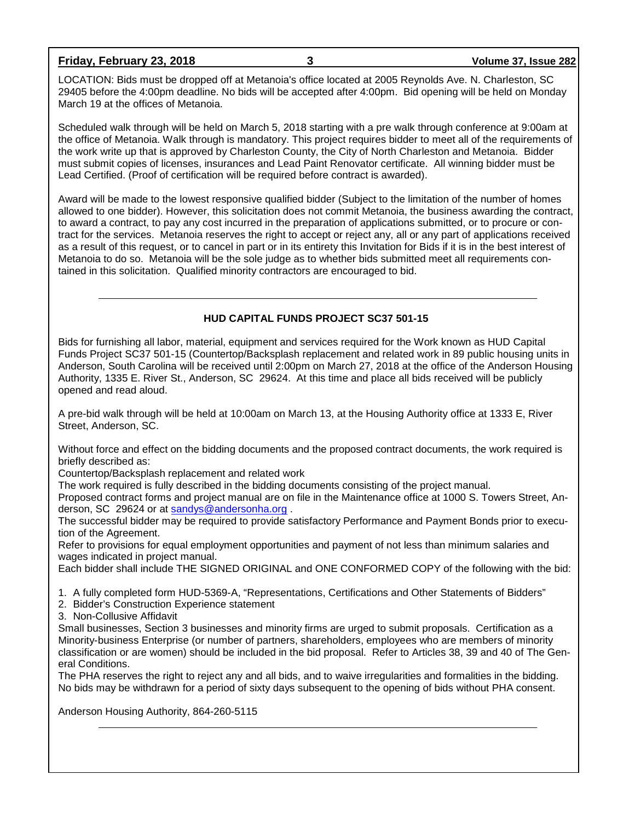#### **Friday, February 23, 2018 3 Volume 37, Issue 282**

LOCATION: Bids must be dropped off at Metanoia's office located at 2005 Reynolds Ave. N. Charleston, SC 29405 before the 4:00pm deadline. No bids will be accepted after 4:00pm. Bid opening will be held on Monday March 19 at the offices of Metanoia.

Scheduled walk through will be held on March 5, 2018 starting with a pre walk through conference at 9:00am at the office of Metanoia. Walk through is mandatory. This project requires bidder to meet all of the requirements of the work write up that is approved by Charleston County, the City of North Charleston and Metanoia. Bidder must submit copies of licenses, insurances and Lead Paint Renovator certificate. All winning bidder must be Lead Certified. (Proof of certification will be required before contract is awarded).

Award will be made to the lowest responsive qualified bidder (Subject to the limitation of the number of homes allowed to one bidder). However, this solicitation does not commit Metanoia, the business awarding the contract, to award a contract, to pay any cost incurred in the preparation of applications submitted, or to procure or contract for the services. Metanoia reserves the right to accept or reject any, all or any part of applications received as a result of this request, or to cancel in part or in its entirety this Invitation for Bids if it is in the best interest of Metanoia to do so. Metanoia will be the sole judge as to whether bids submitted meet all requirements contained in this solicitation. Qualified minority contractors are encouraged to bid.

## **HUD CAPITAL FUNDS PROJECT SC37 501-15**

Bids for furnishing all labor, material, equipment and services required for the Work known as HUD Capital Funds Project SC37 501-15 (Countertop/Backsplash replacement and related work in 89 public housing units in Anderson, South Carolina will be received until 2:00pm on March 27, 2018 at the office of the Anderson Housing Authority, 1335 E. River St., Anderson, SC 29624. At this time and place all bids received will be publicly opened and read aloud.

A pre-bid walk through will be held at 10:00am on March 13, at the Housing Authority office at 1333 E, River Street, Anderson, SC.

Without force and effect on the bidding documents and the proposed contract documents, the work required is briefly described as:

Countertop/Backsplash replacement and related work

The work required is fully described in the bidding documents consisting of the project manual.

Proposed contract forms and project manual are on file in the Maintenance office at 1000 S. Towers Street, Anderson, SC 29624 or at [sandys@andersonha.org](mailto:sandys@andersonha.org) .

The successful bidder may be required to provide satisfactory Performance and Payment Bonds prior to execution of the Agreement.

Refer to provisions for equal employment opportunities and payment of not less than minimum salaries and wages indicated in project manual.

Each bidder shall include THE SIGNED ORIGINAL and ONE CONFORMED COPY of the following with the bid:

1. A fully completed form HUD-5369-A, "Representations, Certifications and Other Statements of Bidders"

- 2. Bidder's Construction Experience statement
- 3. Non-Collusive Affidavit

Small businesses, Section 3 businesses and minority firms are urged to submit proposals. Certification as a Minority-business Enterprise (or number of partners, shareholders, employees who are members of minority classification or are women) should be included in the bid proposal. Refer to Articles 38, 39 and 40 of The General Conditions.

The PHA reserves the right to reject any and all bids, and to waive irregularities and formalities in the bidding. No bids may be withdrawn for a period of sixty days subsequent to the opening of bids without PHA consent.

Anderson Housing Authority, 864-260-5115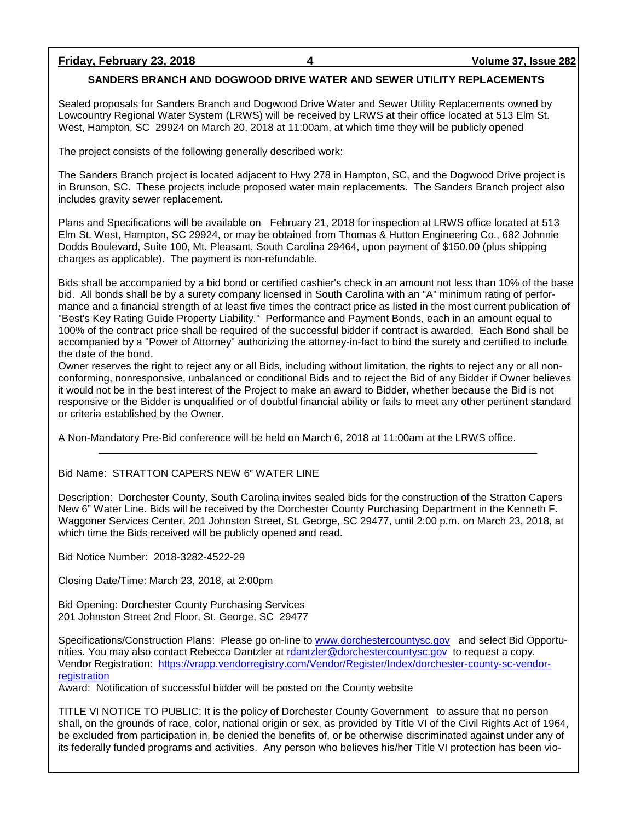## **Friday, February 23, 2018 4 Volume 37, Issue 282**

#### **SANDERS BRANCH AND DOGWOOD DRIVE WATER AND SEWER UTILITY REPLACEMENTS**

Sealed proposals for Sanders Branch and Dogwood Drive Water and Sewer Utility Replacements owned by Lowcountry Regional Water System (LRWS) will be received by LRWS at their office located at 513 Elm St. West, Hampton, SC 29924 on March 20, 2018 at 11:00am, at which time they will be publicly opened

The project consists of the following generally described work:

The Sanders Branch project is located adjacent to Hwy 278 in Hampton, SC, and the Dogwood Drive project is in Brunson, SC. These projects include proposed water main replacements. The Sanders Branch project also includes gravity sewer replacement.

Plans and Specifications will be available on February 21, 2018 for inspection at LRWS office located at 513 Elm St. West, Hampton, SC 29924, or may be obtained from Thomas & Hutton Engineering Co., 682 Johnnie Dodds Boulevard, Suite 100, Mt. Pleasant, South Carolina 29464, upon payment of \$150.00 (plus shipping charges as applicable). The payment is non-refundable.

Bids shall be accompanied by a bid bond or certified cashier's check in an amount not less than 10% of the base bid. All bonds shall be by a surety company licensed in South Carolina with an "A" minimum rating of performance and a financial strength of at least five times the contract price as listed in the most current publication of "Best's Key Rating Guide Property Liability." Performance and Payment Bonds, each in an amount equal to 100% of the contract price shall be required of the successful bidder if contract is awarded. Each Bond shall be accompanied by a "Power of Attorney" authorizing the attorney-in-fact to bind the surety and certified to include the date of the bond.

Owner reserves the right to reject any or all Bids, including without limitation, the rights to reject any or all nonconforming, nonresponsive, unbalanced or conditional Bids and to reject the Bid of any Bidder if Owner believes it would not be in the best interest of the Project to make an award to Bidder, whether because the Bid is not responsive or the Bidder is unqualified or of doubtful financial ability or fails to meet any other pertinent standard or criteria established by the Owner.

A Non-Mandatory Pre-Bid conference will be held on March 6, 2018 at 11:00am at the LRWS office.

#### Bid Name: STRATTON CAPERS NEW 6" WATER LINE

Description: Dorchester County, South Carolina invites sealed bids for the construction of the Stratton Capers New 6" Water Line. Bids will be received by the Dorchester County Purchasing Department in the Kenneth F. Waggoner Services Center, 201 Johnston Street, St. George, SC 29477, until 2:00 p.m. on March 23, 2018, at which time the Bids received will be publicly opened and read.

Bid Notice Number: 2018-3282-4522-29

Closing Date/Time: March 23, 2018, at 2:00pm

Bid Opening: Dorchester County Purchasing Services 201 Johnston Street 2nd Floor, St. George, SC 29477

Specifications/Construction Plans: Please go on-line to [www.dorchestercountysc.gov](http://www.dorchestercountysc.gov/) and select Bid Opportunities. You may also contact Rebecca Dantzler at [rdantzler@dorchestercountysc.gov](mailto:rdantzler@dorchestercountysc.gov) to request a copy. Vendor Registration: [https://vrapp.vendorregistry.com/Vendor/Register/Index/dorchester-county-sc-vendor](https://vrapp.vendorregistry.com/Vendor/Register/Index/dorchester-county-sc-vendor-registration)[registration](https://vrapp.vendorregistry.com/Vendor/Register/Index/dorchester-county-sc-vendor-registration)

Award: Notification of successful bidder will be posted on the County website

TITLE VI NOTICE TO PUBLIC: It is the policy of Dorchester County Government to assure that no person shall, on the grounds of race, color, national origin or sex, as provided by Title VI of the Civil Rights Act of 1964, be excluded from participation in, be denied the benefits of, or be otherwise discriminated against under any of its federally funded programs and activities. Any person who believes his/her Title VI protection has been vio-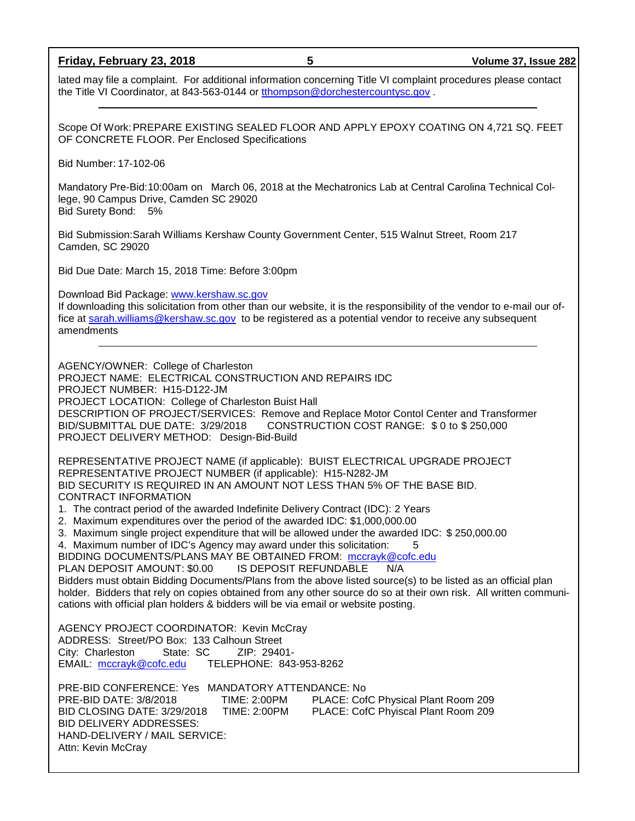#### **Friday, February 23, 2018 5 Volume 37, Issue 282**

lated may file a complaint. For additional information concerning Title VI complaint procedures please contact the Title VI Coordinator, at 843-563-0144 or [tthompson@dorchestercountysc.gov](mailto:tthompson@dorchestercountysc.gov) .

Scope Of Work:PREPARE EXISTING SEALED FLOOR AND APPLY EPOXY COATING ON 4,721 SQ. FEET OF CONCRETE FLOOR. Per Enclosed Specifications

Bid Number: 17-102-06

Mandatory Pre-Bid:10:00am on March 06, 2018 at the Mechatronics Lab at Central Carolina Technical College, 90 Campus Drive, Camden SC 29020 Bid Surety Bond: 5%

Bid Submission:Sarah Williams Kershaw County Government Center, 515 Walnut Street, Room 217 Camden, SC 29020

Bid Due Date: March 15, 2018 Time: Before 3:00pm

Download Bid Package: [www.kershaw.sc.gov](http://www.kershaw.sc.gov/)

If downloading this solicitation from other than our website, it is the responsibility of the vendor to e-mail our office at [sarah.williams@kershaw.sc.gov](mailto:sarah.williams@kershaw.sc.gov) to be registered as a potential vendor to receive any subsequent amendments

AGENCY/OWNER: College of Charleston

PROJECT NAME: ELECTRICAL CONSTRUCTION AND REPAIRS IDC

PROJECT NUMBER: H15-D122-JM

PROJECT LOCATION: College of Charleston Buist Hall

DESCRIPTION OF PROJECT/SERVICES: Remove and Replace Motor Contol Center and Transformer<br>BID/SUBMITTAL DUE DATE: 3/29/2018 CONSTRUCTION COST RANGE: \$0 to \$250,000 CONSTRUCTION COST RANGE: \$0 to \$250,000 PROJECT DELIVERY METHOD: Design-Bid-Build

REPRESENTATIVE PROJECT NAME (if applicable): BUIST ELECTRICAL UPGRADE PROJECT REPRESENTATIVE PROJECT NUMBER (if applicable): H15-N282-JM BID SECURITY IS REQUIRED IN AN AMOUNT NOT LESS THAN 5% OF THE BASE BID. CONTRACT INFORMATION

- 1. The contract period of the awarded Indefinite Delivery Contract (IDC): 2 Years
- 2. Maximum expenditures over the period of the awarded IDC: \$1,000,000.00
- 3. Maximum single project expenditure that will be allowed under the awarded IDC: \$ 250,000.00
- 4. Maximum number of IDC's Agency may award under this solicitation: 5
- BIDDING DOCUMENTS/PLANS MAY BE OBTAINED FROM: [mccrayk@cofc.edu](mailto:mccrayk@cofc.edu)

PLAN DEPOSIT AMOUNT: \$0.00 IS DEPOSIT REFUNDABLE N/A Bidders must obtain Bidding Documents/Plans from the above listed source(s) to be listed as an official plan holder. Bidders that rely on copies obtained from any other source do so at their own risk. All written communications with official plan holders & bidders will be via email or website posting.

AGENCY PROJECT COORDINATOR: Kevin McCray ADDRESS: Street/PO Box: 133 Calhoun Street City: Charleston EMAIL: [mccrayk@cofc.edu](mailto:mccrayk@cofc.edu) TELEPHONE: 843-953-8262

PRE-BID CONFERENCE: Yes MANDATORY ATTENDANCE: No PRE-BID DATE: 3/8/2018 TIME: 2:00PM PLACE: CofC Physical Plant Room 209 BID CLOSING DATE: 3/29/2018 TIME: 2:00PM PLACE: CofC Phyiscal Plant Room 209 BID DELIVERY ADDRESSES: HAND-DELIVERY / MAIL SERVICE: Attn: Kevin McCray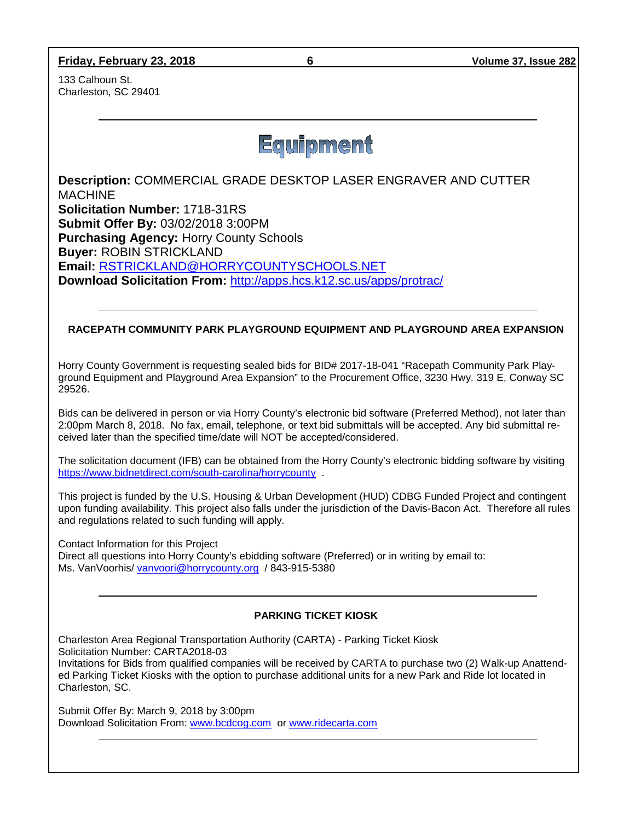## **Friday, February 23, 2018 6 Volume 37, Issue 282**

133 Calhoun St. Charleston, SC 29401



**Description:** COMMERCIAL GRADE DESKTOP LASER ENGRAVER AND CUTTER MACHINE **Solicitation Number:** 1718-31RS **Submit Offer By:** 03/02/2018 3:00PM **Purchasing Agency:** Horry County Schools **Buyer:** ROBIN STRICKLAND **Email:** [RSTRICKLAND@HORRYCOUNTYSCHOOLS.NET](mailto:RSTRICKLAND@HORRYCOUNTYSCHOOLS.NET) **Download Solicitation From:** <http://apps.hcs.k12.sc.us/apps/protrac/>

## **RACEPATH COMMUNITY PARK PLAYGROUND EQUIPMENT AND PLAYGROUND AREA EXPANSION**

Horry County Government is requesting sealed bids for BID# 2017-18-041 "Racepath Community Park Playground Equipment and Playground Area Expansion" to the Procurement Office, 3230 Hwy. 319 E, Conway SC 29526.

Bids can be delivered in person or via Horry County's electronic bid software (Preferred Method), not later than 2:00pm March 8, 2018. No fax, email, telephone, or text bid submittals will be accepted. Any bid submittal received later than the specified time/date will NOT be accepted/considered.

The solicitation document (IFB) can be obtained from the Horry County's electronic bidding software by visiting <https://www.bidnetdirect.com/south-carolina/horrycounty>.

This project is funded by the U.S. Housing & Urban Development (HUD) CDBG Funded Project and contingent upon funding availability. This project also falls under the jurisdiction of the Davis-Bacon Act. Therefore all rules and regulations related to such funding will apply.

Contact Information for this Project Direct all questions into Horry County's ebidding software (Preferred) or in writing by email to: Ms. VanVoorhis/ [vanvoori@horrycounty.org](mailto:vanvoori@horrycounty.org) / 843-915-5380

#### **PARKING TICKET KIOSK**

Charleston Area Regional Transportation Authority (CARTA) - Parking Ticket Kiosk Solicitation Number: CARTA2018-03 Invitations for Bids from qualified companies will be received by CARTA to purchase two (2) Walk-up Anattended Parking Ticket Kiosks with the option to purchase additional units for a new Park and Ride lot located in Charleston, SC.

Submit Offer By: March 9, 2018 by 3:00pm Download Solicitation From: [www.bcdcog.com](http://www.bcdcog.com/) or [www.ridecarta.com](http://www.ridecarta.com/)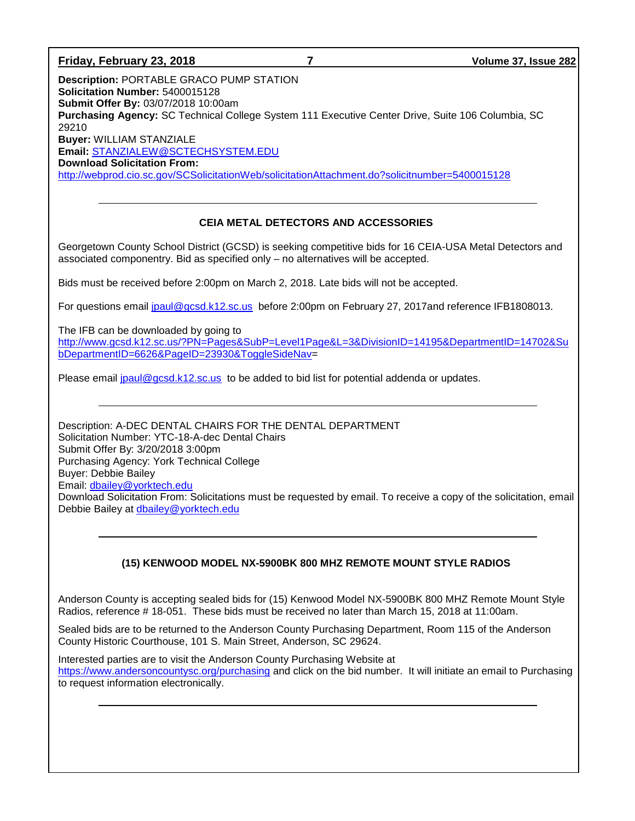#### **Friday, February 23, 2018 7 Volume 37, Issue 282**

**Description:** PORTABLE GRACO PUMP STATION **Solicitation Number:** 5400015128 **Submit Offer By:** 03/07/2018 10:00am **Purchasing Agency:** SC Technical College System 111 Executive Center Drive, Suite 106 Columbia, SC 29210 **Buyer:** WILLIAM STANZIALE **Email:** [STANZIALEW@SCTECHSYSTEM.EDU](mailto:STANZIALEW@SCTECHSYSTEM.EDU) **Download Solicitation From:**  <http://webprod.cio.sc.gov/SCSolicitationWeb/solicitationAttachment.do?solicitnumber=5400015128>

## **CEIA METAL DETECTORS AND ACCESSORIES**

Georgetown County School District (GCSD) is seeking competitive bids for 16 CEIA-USA Metal Detectors and associated componentry. Bid as specified only – no alternatives will be accepted.

Bids must be received before 2:00pm on March 2, 2018. Late bids will not be accepted.

For questions email [jpaul@gcsd.k12.sc.us](mailto:jpaul@gcsd.k12.sc.us) before 2:00pm on February 27, 2017and reference IFB1808013.

The IFB can be downloaded by going to

[http://www.gcsd.k12.sc.us/?PN=Pages&SubP=Level1Page&L=3&DivisionID=14195&DepartmentID=14702&Su](http://www.gcsd.k12.sc.us/?PN=Pages&SubP=Level1Page&L=3&DivisionID=14195&DepartmentID=14702&SubDepartmentID=6626&PageID=23930&ToggleSideNav) [bDepartmentID=6626&PageID=23930&ToggleSideNav=](http://www.gcsd.k12.sc.us/?PN=Pages&SubP=Level1Page&L=3&DivisionID=14195&DepartmentID=14702&SubDepartmentID=6626&PageID=23930&ToggleSideNav)

Please email [jpaul@gcsd.k12.sc.us](mailto:jpaul@gcsd.k12.sc.us) to be added to bid list for potential addenda or updates.

Description: A-DEC DENTAL CHAIRS FOR THE DENTAL DEPARTMENT Solicitation Number: YTC-18-A-dec Dental Chairs Submit Offer By: 3/20/2018 3:00pm Purchasing Agency: York Technical College Buyer: Debbie Bailey Email: [dbailey@yorktech.edu](mailto:dbailey@yorktech.edu) Download Solicitation From: Solicitations must be requested by email. To receive a copy of the solicitation, email Debbie Bailey at [dbailey@yorktech.edu](mailto:dbailey@yorktech.edu)

#### **(15) KENWOOD MODEL NX-5900BK 800 MHZ REMOTE MOUNT STYLE RADIOS**

Anderson County is accepting sealed bids for (15) Kenwood Model NX-5900BK 800 MHZ Remote Mount Style Radios, reference # 18-051. These bids must be received no later than March 15, 2018 at 11:00am.

Sealed bids are to be returned to the Anderson County Purchasing Department, Room 115 of the Anderson County Historic Courthouse, 101 S. Main Street, Anderson, SC 29624.

Interested parties are to visit the Anderson County Purchasing Website at <https://www.andersoncountysc.org/purchasing> and click on the bid number. It will initiate an email to Purchasing to request information electronically.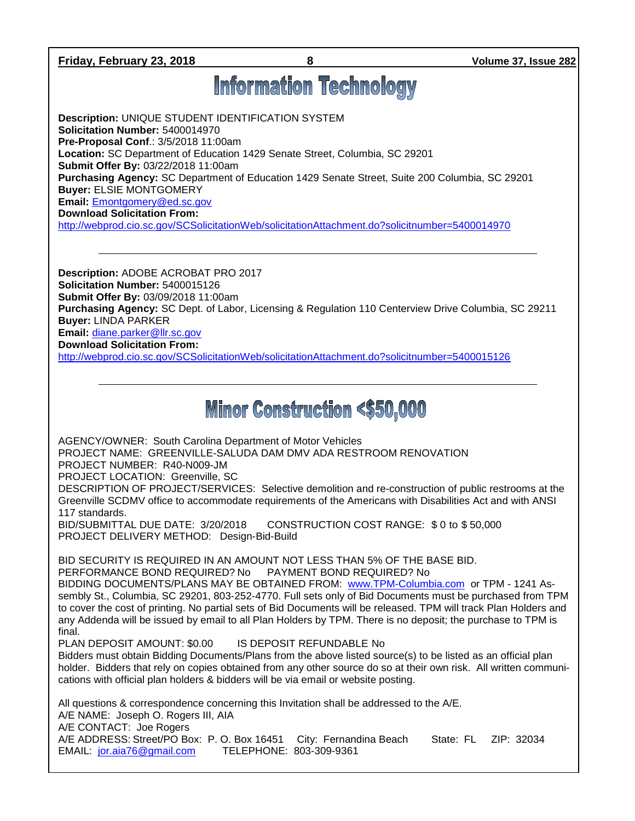**Friday, February 23, 2018 8 Volume 37, Issue 282**

## **Information Technology**

**Description:** UNIQUE STUDENT IDENTIFICATION SYSTEM **Solicitation Number:** 5400014970 **Pre-Proposal Conf**.: 3/5/2018 11:00am **Location:** SC Department of Education 1429 Senate Street, Columbia, SC 29201 **Submit Offer By:** 03/22/2018 11:00am **Purchasing Agency:** SC Department of Education 1429 Senate Street, Suite 200 Columbia, SC 29201 **Buyer:** ELSIE MONTGOMERY **Email:** [Emontgomery@ed.sc.gov](mailto:Emontgomery@ed.sc.gov) **Download Solicitation From:** 

<http://webprod.cio.sc.gov/SCSolicitationWeb/solicitationAttachment.do?solicitnumber=5400014970>

**Description:** ADOBE ACROBAT PRO 2017 **Solicitation Number:** 5400015126 **Submit Offer By:** 03/09/2018 11:00am **Purchasing Agency:** SC Dept. of Labor, Licensing & Regulation 110 Centerview Drive Columbia, SC 29211 **Buyer:** LINDA PARKER **Email:** [diane.parker@llr.sc.gov](mailto:diane.parker@llr.sc.gov) **Download Solicitation From:**  <http://webprod.cio.sc.gov/SCSolicitationWeb/solicitationAttachment.do?solicitnumber=5400015126>

**Minor Construction <\$50,000** 

AGENCY/OWNER: South Carolina Department of Motor Vehicles PROJECT NAME: GREENVILLE-SALUDA DAM DMV ADA RESTROOM RENOVATION PROJECT NUMBER: R40-N009-JM PROJECT LOCATION: Greenville, SC DESCRIPTION OF PROJECT/SERVICES: Selective demolition and re-construction of public restrooms at the Greenville SCDMV office to accommodate requirements of the Americans with Disabilities Act and with ANSI 117 standards.<br>BID/SUBMITTAL DUE DATE: 3/20/2018 CONSTRUCTION COST RANGE: \$0 to \$50,000 PROJECT DELIVERY METHOD: Design-Bid-Build BID SECURITY IS REQUIRED IN AN AMOUNT NOT LESS THAN 5% OF THE BASE BID. PERFORMANCE BOND REQUIRED? No PAYMENT BOND REQUIRED? No BIDDING DOCUMENTS/PLANS MAY BE OBTAINED FROM: [www.TPM-Columbia.com](http://www.tpm-columbia.com/) or TPM - 1241 Assembly St., Columbia, SC 29201, 803-252-4770. Full sets only of Bid Documents must be purchased from TPM to cover the cost of printing. No partial sets of Bid Documents will be released. TPM will track Plan Holders and any Addenda will be issued by email to all Plan Holders by TPM. There is no deposit; the purchase to TPM is final. PLAN DEPOSIT AMOUNT: \$0.00 IS DEPOSIT REFUNDABLE No Bidders must obtain Bidding Documents/Plans from the above listed source(s) to be listed as an official plan holder. Bidders that rely on copies obtained from any other source do so at their own risk. All written communications with official plan holders & bidders will be via email or website posting. All questions & correspondence concerning this Invitation shall be addressed to the A/E. A/E NAME: Joseph O. Rogers III, AIA

A/E CONTACT: Joe Rogers A/E ADDRESS: Street/PO Box: P. O. Box 16451 City: Fernandina Beach State: FL ZIP: 32034 EMAIL: [jor.aia76@gmail.com](mailto:jor.aia76@gmail.com) TELEPHONE: 803-309-9361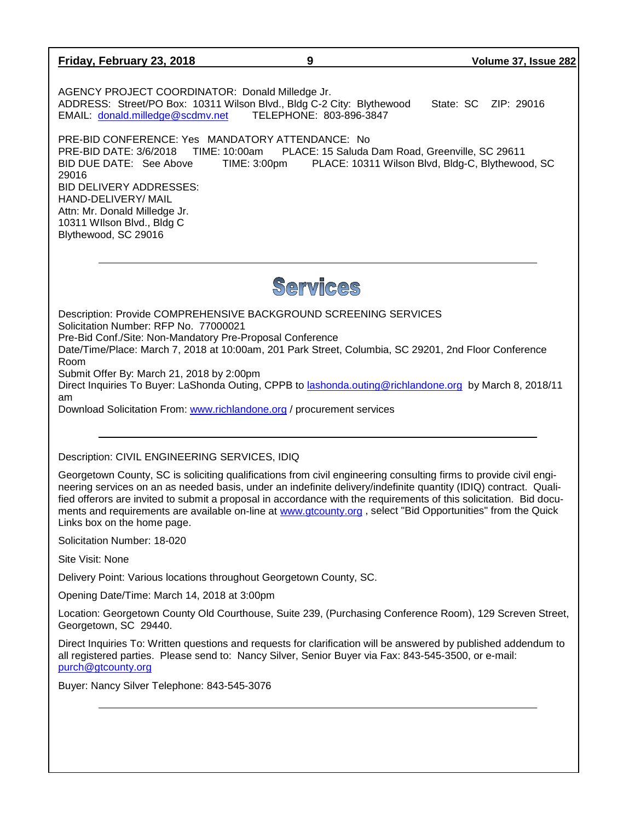| Friday, February 23, 2018                                                                                                                                                                                                                                                       | 9 | Volume 37, Issue 282 |  |  |
|---------------------------------------------------------------------------------------------------------------------------------------------------------------------------------------------------------------------------------------------------------------------------------|---|----------------------|--|--|
| AGENCY PROJECT COORDINATOR: Donald Milledge Jr.<br>ADDRESS: Street/PO Box: 10311 Wilson Blvd., Bldg C-2 City: Blythewood<br>EMAIL: donald.milledge@scdmv.net TELEPHONE: 803-896-3847                                                                                            |   | State: SC ZIP: 29016 |  |  |
| PRE-BID CONFERENCE: Yes MANDATORY ATTENDANCE: No<br>PRE-BID DATE: 3/6/2018 TIME: 10:00am PLACE: 15 Saluda Dam Road, Greenville, SC 29611<br>TIME: 3:00pm PLACE: 10311 Wilson Blvd, Bldg-C, Blythewood, SC<br>BID DUE DATE: See Above<br>29016<br><b>BID DELIVERY ADDRESSES:</b> |   |                      |  |  |

HAND-DELIVERY/ MAIL Attn: Mr. Donald Milledge Jr. 10311 WIlson Blvd., Bldg C Blythewood, SC 29016

Services

Description: Provide COMPREHENSIVE BACKGROUND SCREENING SERVICES Solicitation Number: RFP No. 77000021 Pre-Bid Conf./Site: Non-Mandatory Pre-Proposal Conference Date/Time/Place: March 7, 2018 at 10:00am, 201 Park Street, Columbia, SC 29201, 2nd Floor Conference Room Submit Offer By: March 21, 2018 by 2:00pm

Direct Inquiries To Buyer: LaShonda Outing, CPPB to [lashonda.outing@richlandone.org](mailto:lashonda.outing@richlandone.org) by March 8, 2018/11 am

Download Solicitation From: [www.richlandone.org](http://www.richlandone.org/) / procurement services

#### Description: CIVIL ENGINEERING SERVICES, IDIQ

Georgetown County, SC is soliciting qualifications from civil engineering consulting firms to provide civil engineering services on an as needed basis, under an indefinite delivery/indefinite quantity (IDIQ) contract. Qualified offerors are invited to submit a proposal in accordance with the requirements of this solicitation. Bid documents and requirements are available on-line at [www.gtcounty.org](http://www.gtcounty.org/), select "Bid Opportunities" from the Quick Links box on the home page.

Solicitation Number: 18-020

Site Visit: None

Delivery Point: Various locations throughout Georgetown County, SC.

Opening Date/Time: March 14, 2018 at 3:00pm

Location: Georgetown County Old Courthouse, Suite 239, (Purchasing Conference Room), 129 Screven Street, Georgetown, SC 29440.

Direct Inquiries To: Written questions and requests for clarification will be answered by published addendum to all registered parties. Please send to: Nancy Silver, Senior Buyer via Fax: 843-545-3500, or e-mail: [purch@gtcounty.org](mailto:purch@gtcounty.org)

Buyer: Nancy Silver Telephone: 843-545-3076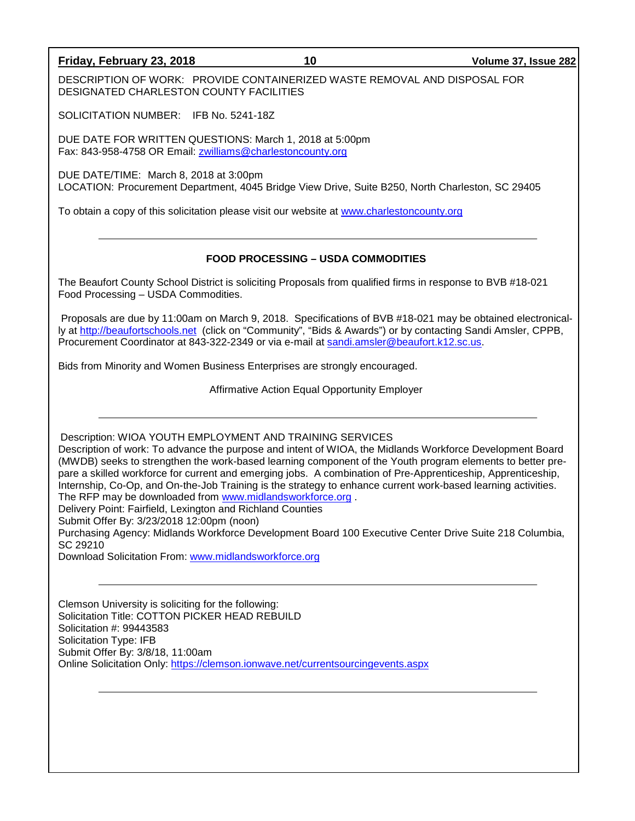#### **Friday, February 23, 2018 10 Volume 37, Issue 282**

DESCRIPTION OF WORK: PROVIDE CONTAINERIZED WASTE REMOVAL AND DISPOSAL FOR DESIGNATED CHARLESTON COUNTY FACILITIES

SOLICITATION NUMBER: IFB No. 5241-18Z

DUE DATE FOR WRITTEN QUESTIONS: March 1, 2018 at 5:00pm Fax: 843-958-4758 OR Email: [zwilliams@charlestoncounty.org](mailto:zwilliams@charlestoncounty.org)

DUE DATE/TIME: March 8, 2018 at 3:00pm LOCATION: Procurement Department, 4045 Bridge View Drive, Suite B250, North Charleston, SC 29405

To obtain a copy of this solicitation please visit our website at [www.charlestoncounty.org](http://www.charlestoncounty.org/)

#### **FOOD PROCESSING – USDA COMMODITIES**

The Beaufort County School District is soliciting Proposals from qualified firms in response to BVB #18-021 Food Processing – USDA Commodities.

Proposals are due by 11:00am on March 9, 2018. Specifications of BVB #18-021 may be obtained electronically at [http://beaufortschools.net](http://beaufortschools.net/) (click on "Community", "Bids & Awards") or by contacting Sandi Amsler, CPPB, Procurement Coordinator at 843-322-2349 or via e-mail at [sandi.amsler@beaufort.k12.sc.us.](mailto:sandi.amsler@beaufort.k12.sc.us)

Bids from Minority and Women Business Enterprises are strongly encouraged.

Affirmative Action Equal Opportunity Employer

Description: WIOA YOUTH EMPLOYMENT AND TRAINING SERVICES

Description of work: To advance the purpose and intent of WIOA, the Midlands Workforce Development Board (MWDB) seeks to strengthen the work-based learning component of the Youth program elements to better prepare a skilled workforce for current and emerging jobs. A combination of Pre-Apprenticeship, Apprenticeship, Internship, Co-Op, and On-the-Job Training is the strategy to enhance current work-based learning activities. The RFP may be downloaded from [www.midlandsworkforce.org](http://www.midlandsworkforce.org/) .

Delivery Point: Fairfield, Lexington and Richland Counties

Submit Offer By: 3/23/2018 12:00pm (noon)

Purchasing Agency: Midlands Workforce Development Board 100 Executive Center Drive Suite 218 Columbia, SC 29210

Download Solicitation From: [www.midlandsworkforce.org](http://www.midlandsworkforce.org/)

Clemson University is soliciting for the following: Solicitation Title: COTTON PICKER HEAD REBUILD Solicitation #: 99443583 Solicitation Type: IFB Submit Offer By: 3/8/18, 11:00am Online Solicitation Only:<https://clemson.ionwave.net/currentsourcingevents.aspx>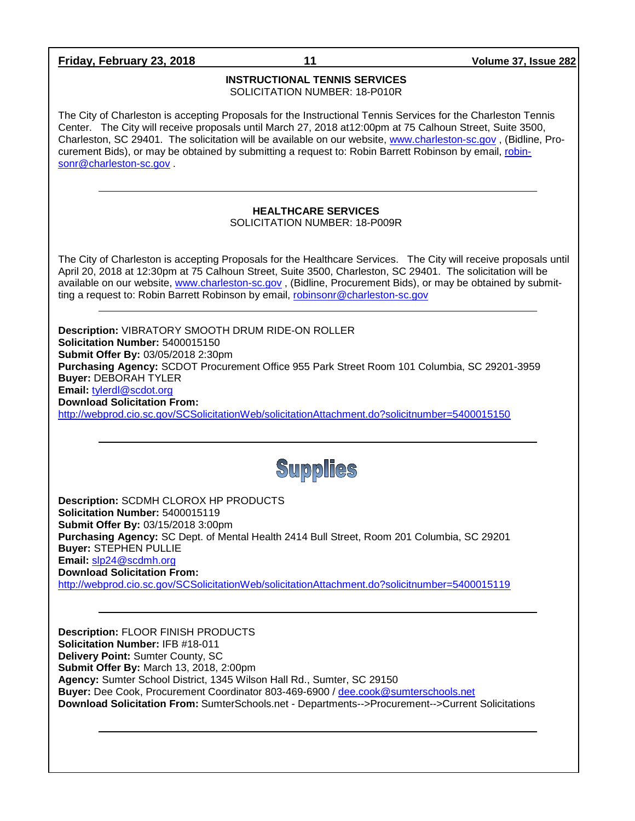**Friday, February 23, 2018 11 Volume 37, Issue 282**

**INSTRUCTIONAL TENNIS SERVICES** SOLICITATION NUMBER: 18-P010R

The City of Charleston is accepting Proposals for the Instructional Tennis Services for the Charleston Tennis Center. The City will receive proposals until March 27, 2018 at12:00pm at 75 Calhoun Street, Suite 3500, Charleston, SC 29401. The solicitation will be available on our website, [www.charleston-sc.gov](http://www.charleston-sc.gov/) , (Bidline, Procurement Bids), or may be obtained by submitting a request to: Robin Barrett Robinson by email, [robin](mailto:robinsonr@charleston-sc.gov)[sonr@charleston-sc.gov](mailto:robinsonr@charleston-sc.gov) .

#### **HEALTHCARE SERVICES** SOLICITATION NUMBER: 18-P009R

The City of Charleston is accepting Proposals for the Healthcare Services. The City will receive proposals until April 20, 2018 at 12:30pm at 75 Calhoun Street, Suite 3500, Charleston, SC 29401. The solicitation will be available on our website, [www.charleston-sc.gov](http://www.charleston-sc.gov/) , (Bidline, Procurement Bids), or may be obtained by submitting a request to: Robin Barrett Robinson by email, [robinsonr@charleston-sc.gov](mailto:robinsonr@charleston-sc.gov)

**Description:** VIBRATORY SMOOTH DRUM RIDE-ON ROLLER **Solicitation Number:** 5400015150 **Submit Offer By:** 03/05/2018 2:30pm **Purchasing Agency:** SCDOT Procurement Office 955 Park Street Room 101 Columbia, SC 29201-3959 **Buyer:** DEBORAH TYLER **Email:** [tylerdl@scdot.org](mailto:tylerdl@scdot.org) **Download Solicitation From:**  <http://webprod.cio.sc.gov/SCSolicitationWeb/solicitationAttachment.do?solicitnumber=5400015150>



**Description:** SCDMH CLOROX HP PRODUCTS **Solicitation Number:** 5400015119 **Submit Offer By:** 03/15/2018 3:00pm **Purchasing Agency:** SC Dept. of Mental Health 2414 Bull Street, Room 201 Columbia, SC 29201 **Buyer:** STEPHEN PULLIE **Email:** [slp24@scdmh.org](mailto:slp24@scdmh.org) **Download Solicitation From:** 

<http://webprod.cio.sc.gov/SCSolicitationWeb/solicitationAttachment.do?solicitnumber=5400015119>

**Description:** FLOOR FINISH PRODUCTS **Solicitation Number:** IFB #18-011 **Delivery Point:** Sumter County, SC **Submit Offer By:** March 13, 2018, 2:00pm **Agency:** Sumter School District, 1345 Wilson Hall Rd., Sumter, SC 29150 **Buyer:** Dee Cook, Procurement Coordinator 803-469-6900 / [dee.cook@sumterschools.net](mailto:dee.cook@sumterschools.net) **Download Solicitation From:** SumterSchools.net - Departments-->Procurement-->Current Solicitations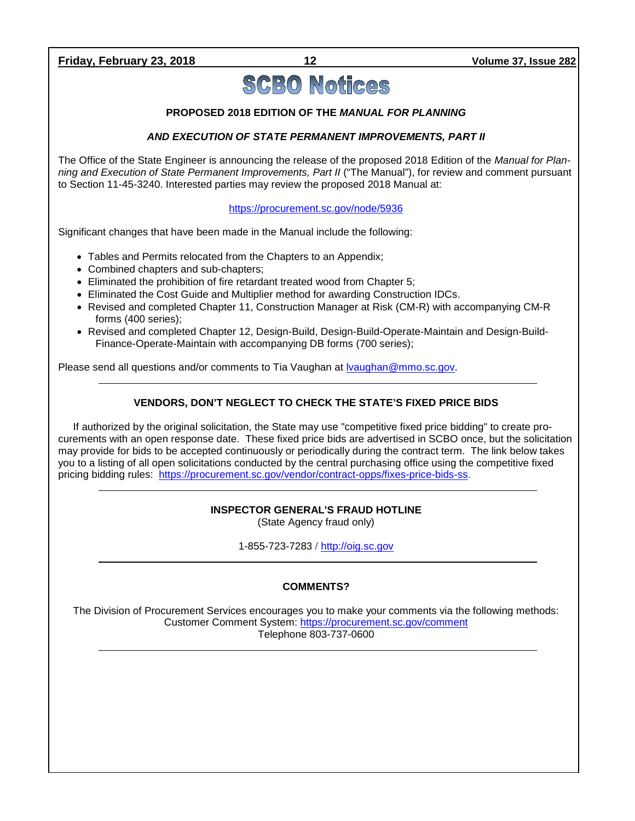# **SCBO Notices**

#### **PROPOSED 2018 EDITION OF THE** *MANUAL FOR PLANNING*

## *AND EXECUTION OF STATE PERMANENT IMPROVEMENTS, PART II*

The Office of the State Engineer is announcing the release of the proposed 2018 Edition of the *Manual for Planning and Execution of State Permanent Improvements, Part II* ("The Manual"), for review and comment pursuant to Section 11-45-3240. Interested parties may review the proposed 2018 Manual at:

#### <https://procurement.sc.gov/node/5936>

Significant changes that have been made in the Manual include the following:

- Tables and Permits relocated from the Chapters to an Appendix;
- Combined chapters and sub-chapters;
- Eliminated the prohibition of fire retardant treated wood from Chapter 5;
- Eliminated the Cost Guide and Multiplier method for awarding Construction IDCs.
- Revised and completed Chapter 11, Construction Manager at Risk (CM-R) with accompanying CM-R forms (400 series);
- Revised and completed Chapter 12, Design-Build, Design-Build-Operate-Maintain and Design-Build-Finance-Operate-Maintain with accompanying DB forms (700 series);

Please send all questions and/or comments to Tia Vaughan at Ivaughan@mmo.sc.gov.

#### **VENDORS, DON'T NEGLECT TO CHECK THE STATE'S FIXED PRICE BIDS**

If authorized by the original solicitation, the State may use "competitive fixed price bidding" to create procurements with an open response date. These fixed price bids are advertised in SCBO once, but the solicitation may provide for bids to be accepted continuously or periodically during the contract term. The link below takes you to a listing of all open solicitations conducted by the central purchasing office using the competitive fixed pricing bidding rules: [https://procurement.sc.gov/vendor/contract-opps/fixes-price-bids-ss.](https://procurement.sc.gov/vendor/contract-opps/fixes-price-bids-ss)

#### **INSPECTOR GENERAL'S FRAUD HOTLINE**

(State Agency fraud only)

1-855-723-7283 / [http://oig.sc.gov](http://oig.sc.gov/)

#### **COMMENTS?**

The Division of Procurement Services encourages you to make your comments via the following methods: Customer Comment System:<https://procurement.sc.gov/comment> Telephone 803-737-0600